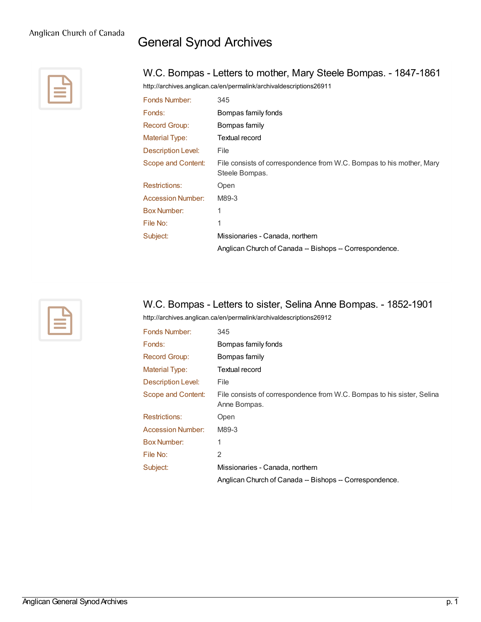## General Synod Archives



## W.C. Bompas - Letters to mother, Mary Steele Bompas. - 1847-1861

<http://archives.anglican.ca/en/permalink/archivaldescriptions26911>

| Fonds Number:             | 345                                                                                    |
|---------------------------|----------------------------------------------------------------------------------------|
| Fonds:                    | Bompas family fonds                                                                    |
| Record Group:             | Bompas family                                                                          |
| <b>Material Type:</b>     | Textual record                                                                         |
| <b>Description Level:</b> | File                                                                                   |
| Scope and Content:        | File consists of correspondence from W.C. Bompas to his mother, Mary<br>Steele Bompas. |
| <b>Restrictions:</b>      | Open                                                                                   |
| <b>Accession Number:</b>  | M89-3                                                                                  |
| <b>Box Number:</b>        | 1                                                                                      |
| File No:                  | 1                                                                                      |
| Subject:                  | Missionaries - Canada, northern                                                        |
|                           | Anglican Church of Canada -- Bishops -- Correspondence.                                |



## W.C. Bompas - Letters to sister, Selina Anne Bompas. - 1852-1901

<http://archives.anglican.ca/en/permalink/archivaldescriptions26912>

| Fonds Number:             | 345                                                                                    |
|---------------------------|----------------------------------------------------------------------------------------|
| Fonds:                    | Bompas family fonds                                                                    |
| <b>Record Group:</b>      | Bompas family                                                                          |
| <b>Material Type:</b>     | Textual record                                                                         |
| <b>Description Level:</b> | File                                                                                   |
| Scope and Content:        | File consists of correspondence from W.C. Bompas to his sister, Selina<br>Anne Bompas. |
| <b>Restrictions:</b>      | Open                                                                                   |
| <b>Accession Number:</b>  | M89-3                                                                                  |
| <b>Box Number:</b>        | 1                                                                                      |
| File No:                  | $\overline{2}$                                                                         |
| Subject:                  | Missionaries - Canada, northern                                                        |
|                           | Anglican Church of Canada -- Bishops -- Correspondence.                                |